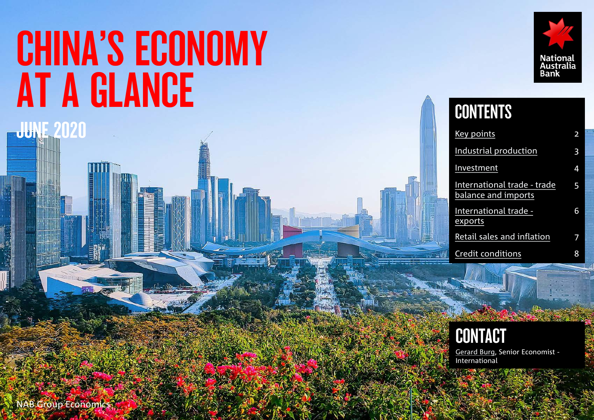# CHINA'S ECONOMY AT A GLANCE



## **CONTENTS**

| Key points                                         | 2 |
|----------------------------------------------------|---|
| Industrial production                              | 3 |
| Investment                                         | 4 |
| International trade - trade<br>balance and imports | 5 |
| International trade -<br>exports                   | 6 |
| Retail sales and inflation                         |   |
| <b>Credit conditions</b>                           |   |



[Gerard Burg,](mailto:Gerard.Burg@nab.com.au) Senior Economist - **International** 

1

NAB Group Economics?

**JUNE 2020**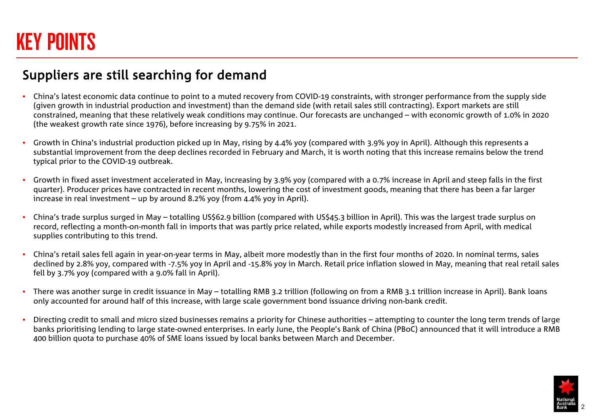## <span id="page-1-0"></span>KEY POINTS

### Suppliers are still searching for demand

- China's latest economic data continue to point to a muted recovery from COVID-19 constraints, with stronger performance from the supply side (given growth in industrial production and investment) than the demand side (with retail sales still contracting). Export markets are still constrained, meaning that these relatively weak conditions may continue. Our forecasts are unchanged – with economic growth of 1.0% in 2020 (the weakest growth rate since 1976), before increasing by 9.75% in 2021.
- Growth in China's industrial production picked up in May, rising by 4.4% yoy (compared with 3.9% yoy in April). Although this represents a substantial improvement from the deep declines recorded in February and March, it is worth noting that this increase remains below the trend typical prior to the COVID-19 outbreak.
- Growth in fixed asset investment accelerated in May, increasing by 3.9% yoy (compared with a 0.7% increase in April and steep falls in the first quarter). Producer prices have contracted in recent months, lowering the cost of investment goods, meaning that there has been a far larger increase in real investment – up by around 8.2% yoy (from 4.4% yoy in April).
- China's trade surplus surged in May totalling US\$62.9 billion (compared with US\$45.3 billion in April). This was the largest trade surplus on record, reflecting a month-on-month fall in imports that was partly price related, while exports modestly increased from April, with medical supplies contributing to this trend.
- China's retail sales fell again in year-on-year terms in May, albeit more modestly than in the first four months of 2020. In nominal terms, sales declined by 2.8% yoy, compared with -7.5% yoy in April and -15.8% yoy in March. Retail price inflation slowed in May, meaning that real retail sales fell by 3.7% yoy (compared with a 9.0% fall in April).
- There was another surge in credit issuance in May totalling RMB 3.2 trillion (following on from a RMB 3.1 trillion increase in April). Bank loans only accounted for around half of this increase, with large scale government bond issuance driving non-bank credit.
- Directing credit to small and micro sized businesses remains a priority for Chinese authorities attempting to counter the long term trends of large banks prioritising lending to large state-owned enterprises. In early June, the People's Bank of China (PBoC) announced that it will introduce a RMB 400 billion quota to purchase 40% of SME loans issued by local banks between March and December.

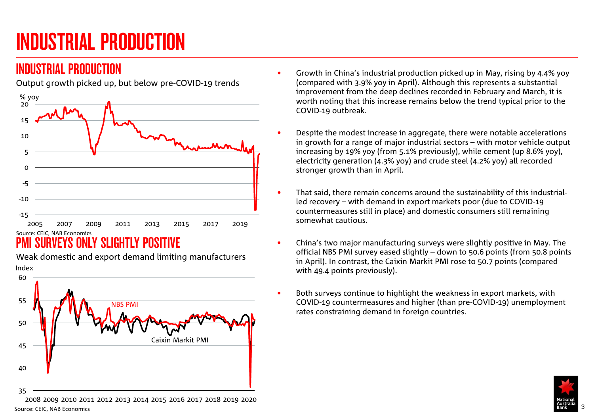## <span id="page-2-0"></span>INDUSTRIAL PRODUCTION

### INDUSTRIAL PRODUCTION

Output growth picked up, but below pre-COVID-19 trends



## **SURVEYS ONLY SLIGHTLY POSITIVE**

Weak domestic and export demand limiting manufacturers



- Growth in China's industrial production picked up in May, rising by 4.4% yoy (compared with 3.9% yoy in April). Although this represents a substantial improvement from the deep declines recorded in February and March, it is worth noting that this increase remains below the trend typical prior to the COVID-19 outbreak.
- Despite the modest increase in aggregate, there were notable accelerations in growth for a range of major industrial sectors – with motor vehicle output increasing by 19% yoy (from 5.1% previously), while cement (up 8.6% yoy), electricity generation (4.3% yoy) and crude steel (4.2% yoy) all recorded stronger growth than in April.
- That said, there remain concerns around the sustainability of this industrialled recovery – with demand in export markets poor (due to COVID-19 countermeasures still in place) and domestic consumers still remaining somewhat cautious.
- China's two major manufacturing surveys were slightly positive in May. The official NBS PMI survey eased slightly – down to 50.6 points (from 50.8 points in April). In contrast, the Caixin Markit PMI rose to 50.7 points (compared with 49.4 points previously).
- Both surveys continue to highlight the weakness in export markets, with COVID-19 countermeasures and higher (than pre-COVID-19) unemployment rates constraining demand in foreign countries.



2008 2009 2010 2011 2012 2013 2014 2015 2016 2017 2018 2019 2020 Source: CEIC, NAB Economics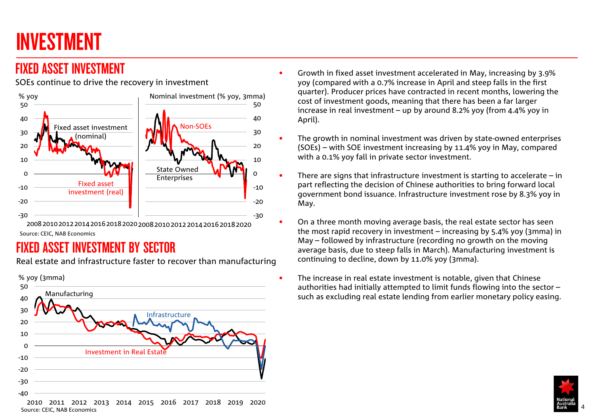## <span id="page-3-0"></span>INVESTMENT

## FIXED ASSET INVESTMENT

SOEs continue to drive the recovery in investment



Source: CEIC, NAB Economics

## FIXED ASSET INVESTMENT BY SECTOR

Real estate and infrastructure faster to recover than manufacturing



- Growth in fixed asset investment accelerated in May, increasing by 3.9% yoy (compared with a 0.7% increase in April and steep falls in the first quarter). Producer prices have contracted in recent months, lowering the cost of investment goods, meaning that there has been a far larger increase in real investment – up by around 8.2% yoy (from 4.4% yoy in April).
- The growth in nominal investment was driven by state-owned enterprises (SOEs) – with SOE investment increasing by 11.4% yoy in May, compared with a 0.1% yoy fall in private sector investment.
- There are signs that infrastructure investment is starting to accelerate  $-$  in part reflecting the decision of Chinese authorities to bring forward local government bond issuance. Infrastructure investment rose by 8.3% yoy in May.
- On a three month moving average basis, the real estate sector has seen the most rapid recovery in investment – increasing by 5.4% yoy (3mma) in May – followed by infrastructure (recording no growth on the moving average basis, due to steep falls in March). Manufacturing investment is continuing to decline, down by 11.0% yoy (3mma).
- The increase in real estate investment is notable, given that Chinese authorities had initially attempted to limit funds flowing into the sector – such as excluding real estate lending from earlier monetary policy easing.

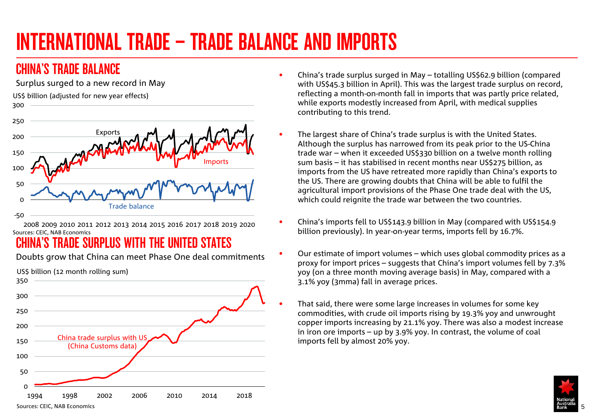## <span id="page-4-0"></span>INTERNATIONAL TRADE – TRADE BALANCE AND IMPORTS

## CHINA'S TRADE RAI ANCE

Surplus surged to a new record in May





2008 2009 2010 2011 2012 2013 2014 2015 2016 2017 2018 2019 2020 Sources: CEIC, NAB Economics

## CHINA'S TRADE SURPLUS WITH THE UNITED STATES

Doubts grow that China can meet Phase One deal commitments



- China's trade surplus surged in May totalling US\$62.9 billion (compared with US\$45.3 billion in April). This was the largest trade surplus on record, reflecting a month-on-month fall in imports that was partly price related, while exports modestly increased from April, with medical supplies contributing to this trend.
- The largest share of China's trade surplus is with the United States. Although the surplus has narrowed from its peak prior to the US-China trade war – when it exceeded US\$330 billion on a twelve month rolling sum basis – it has stabilised in recent months near US\$275 billion, as imports from the US have retreated more rapidly than China's exports to the US. There are growing doubts that China will be able to fulfil the agricultural import provisions of the Phase One trade deal with the US, which could reignite the trade war between the two countries.
- China's imports fell to US\$143.9 billion in May (compared with US\$154.9 billion previously). In year-on-year terms, imports fell by 16.7%.
- Our estimate of import volumes which uses global commodity prices as a proxy for import prices – suggests that China's import volumes fell by 7.3% yoy (on a three month moving average basis) in May, compared with a 3.1% yoy (3mma) fall in average prices.
- That said, there were some large increases in volumes for some key commodities, with crude oil imports rising by 19.3% yoy and unwrought copper imports increasing by 21.1% yoy. There was also a modest increase in iron ore imports – up by 3.9% yoy. In contrast, the volume of coal imports fell by almost 20% yoy.



Sources: CEIC, NAB Economics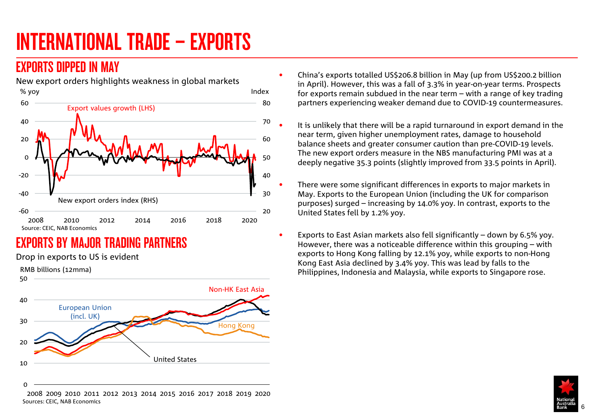## <span id="page-5-0"></span>INTERNATIONAL TRADE – EXPORTS

### EXPORTS DIPPED IN MAY



## EXPORTS BY MAJOR TRADING PARTNERS

Drop in exports to US is evident



- China's exports totalled US\$206.8 billion in May (up from US\$200.2 billion in April). However, this was a fall of 3.3% in year-on-year terms. Prospects for exports remain subdued in the near term – with a range of key trading partners experiencing weaker demand due to COVID-19 countermeasures.
	- It is unlikely that there will be a rapid turnaround in export demand in the near term, given higher unemployment rates, damage to household balance sheets and greater consumer caution than pre-COVID-19 levels. The new export orders measure in the NBS manufacturing PMI was at a deeply negative 35.3 points (slightly improved from 33.5 points in April).
	- There were some significant differences in exports to major markets in May. Exports to the European Union (including the UK for comparison purposes) surged – increasing by 14.0% yoy. In contrast, exports to the United States fell by 1.2% yoy.
- Exports to East Asian markets also fell significantly down by 6.5% yoy. However, there was a noticeable difference within this grouping – with exports to Hong Kong falling by 12.1% yoy, while exports to non-Hong Kong East Asia declined by 3.4% yoy. This was lead by falls to the Philippines, Indonesia and Malaysia, while exports to Singapore rose.



2008 2009 2010 2011 2012 2013 2014 2015 2016 2017 2018 2019 2020 Sources: CEIC, NAB Economics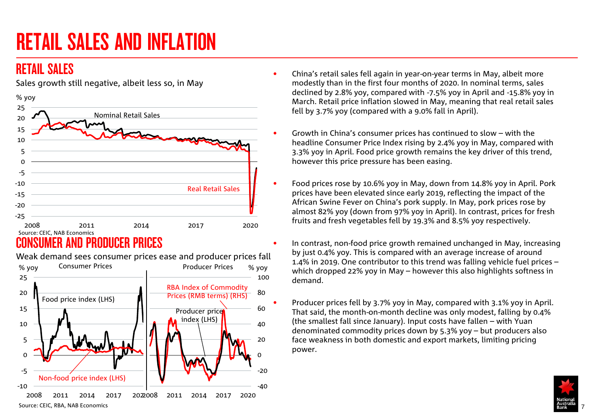## <span id="page-6-0"></span>RETAIL SALES AND INFLATION

## RETAIL SALES



Sales growth still negative, albeit less so, in May

### CONSUMER AND PRODUCER PRICES



Weak demand sees consumer prices ease and producer prices fall

- China's retail sales fell again in year-on-year terms in May, albeit more modestly than in the first four months of 2020. In nominal terms, sales declined by 2.8% yoy, compared with -7.5% yoy in April and -15.8% yoy in March. Retail price inflation slowed in May, meaning that real retail sales fell by 3.7% yoy (compared with a 9.0% fall in April).
- Growth in China's consumer prices has continued to slow with the headline Consumer Price Index rising by 2.4% yoy in May, compared with 3.3% yoy in April. Food price growth remains the key driver of this trend, however this price pressure has been easing.
- Food prices rose by 10.6% yoy in May, down from 14.8% yoy in April. Pork prices have been elevated since early 2019, reflecting the impact of the African Swine Fever on China's pork supply. In May, pork prices rose by almost 82% yoy (down from 97% yoy in April). In contrast, prices for fresh fruits and fresh vegetables fell by 19.3% and 8.5% yoy respectively.
- In contrast, non-food price growth remained unchanged in May, increasing by just 0.4% yoy. This is compared with an average increase of around 1.4% in 2019. One contributor to this trend was falling vehicle fuel prices – which dropped 22% yoy in May – however this also highlights softness in demand.

• Producer prices fell by 3.7% yoy in May, compared with 3.1% yoy in April. That said, the month-on-month decline was only modest, falling by 0.4% (the smallest fall since January). Input costs have fallen – with Yuan denominated commodity prices down by 5.3% yoy – but producers also face weakness in both domestic and export markets, limiting pricing power.

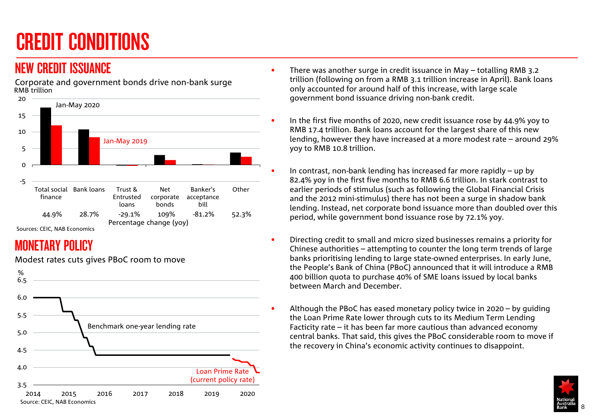## <span id="page-7-0"></span>CREDIT CONDITIONS

### NEW CREDIT ISSUANCE

RMB trillion Corporate and government bonds drive non-bank surge



#### Sources: CEIC, NAB Economics

## MONETARY POLICY



Modest rates cuts gives PBoC room to move

- There was another surge in credit issuance in May totalling RMB 3.2 trillion (following on from a RMB 3.1 trillion increase in April). Bank loans only accounted for around half of this increase, with large scale government bond issuance driving non-bank credit.
- In the first five months of 2020, new credit issuance rose by 44.9% yoy to RMB 17.4 trillion. Bank loans account for the largest share of this new lending, however they have increased at a more modest rate – around 29% yoy to RMB 10.8 trillion.
- In contrast, non-bank lending has increased far more rapidly  $-$  up by 82.4% yoy in the first five months to RMB 6.6 trillion. In stark contrast to earlier periods of stimulus (such as following the Global Financial Crisis and the 2012 mini-stimulus) there has not been a surge in shadow bank lending. Instead, net corporate bond issuance more than doubled over this period, while government bond issuance rose by 72.1% yoy.
- Directing credit to small and micro sized businesses remains a priority for Chinese authorities – attempting to counter the long term trends of large banks prioritising lending to large state-owned enterprises. In early June, the People's Bank of China (PBoC) announced that it will introduce a RMB 400 billion quota to purchase 40% of SME loans issued by local banks between March and December.
	- Although the PBoC has eased monetary policy twice in 2020 by guiding the Loan Prime Rate lower through cuts to its Medium Term Lending Facticity rate – it has been far more cautious than advanced economy central banks. That said, this gives the PBoC considerable room to move if the recovery in China's economic activity continues to disappoint.